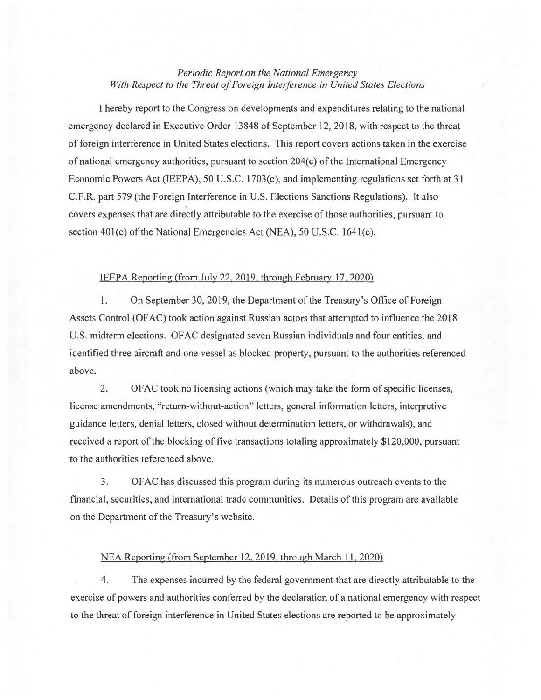## *Periodic Report on the National Emergency With Respect to the Threat of Foreign Interference in United States Elections*

I hereby report to the Congress on developments and expenditures relating to the national emergency declared in Executive Order 13848 of September 12, 2018, with respect to the threat of foreign interference in United States elections. This report covers actions taken in the exercise of national emergency authorities, pursuant to section 204(c) of the International Emergency Economic Powers Act (IEEPA), 50 U.S.C. 1703(c), and implementing regulations set forth at 31 C.F.R. part 579 (the Foreign Interference in U.S. Elections Sanctions Regulations). It also covers expenses that are directly attributable to the exercise of those authorities, pursuant to section 401(c) of the National Emergencies Act (NEA), 50 U.S.C. 1641(c).

## IEEPA Reporting (from July 22, 2019, through February 17, 2020)

1. On September 30, 2019, the Department of the Treasury's Office of Foreign Assets Control (OFAC) took action against Russian actors that attempted to influence the 2018 U.S. midterm elections. OF AC designated seven Russian individuals and four entities, and identified three aircraft and one vessel as blocked property, pursuant to the authorities referenced above.

2. OF AC took no licensing actions (which may take the form of specific licenses, license amendments, "return-without-action" letters, general information letters, interpretive guidance letters, denial letters, closed without determination letters, or withdrawals), and received a report of the blocking of five transactions totaling approximately \$120,000, pursuant to the authorities referenced above.

3. OF AC has discussed this program during its numerous outreach events to the financial, securities, and international trade communities. Details of this program are available on the Department of the Treasury's website.

## NEA Reporting (from September 12, 2019, through March 11, 2020)

4. The expenses incurred by the federal government that are directly attributable to the exercise of powers and authorities conferred by the declaration of a national emergency with respect to the threat of foreign interference in United States elections are reported to be approximately